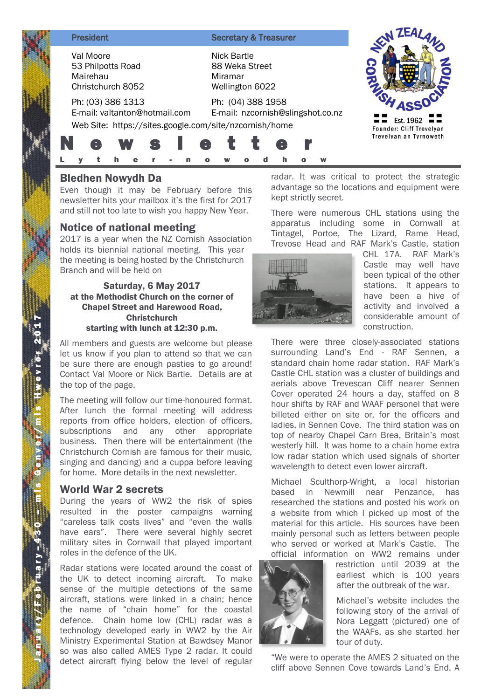Val Moore 53 Philpotts Road Mairehau Christchurch 8052

**President Secretary & Treasurer** 

Nick Bartle 88 Weka Street Miramar Wellington 6022



Ph: (03) 386 1313 E-mail: valtanton@hotmail.com

Ph: (04) 388 1958 E-mail: nzcornish@slingshot.co.nz Web Site: https://sites.google.com/site/nzcornish/home

L y t h e r - n o w o d h o w

# Bledhen Nowydh Da

Even though it may be February before this newsletter hits your mailbox it's the first for 2017 and still not too late to wish you happy New Year.

N e w s l e t t e r

# Notice of national meeting

2017 is a year when the NZ Cornish Association holds its biennial national meeting. This year the meeting is being hosted by the Christchurch Branch and will be held on

#### Saturday, 6 May 2017 at the Methodist Church on the corner of Chapel Street and Harewood Road, Christchurch starting with lunch at 12:30 p.m.

All members and guests are welcome but please let us know if you plan to attend so that we can be sure there are enough pasties to go around! Contact Val Moore or Nick Bartle. Details are at the top of the page.

The meeting will follow our time-honoured format. After lunch the formal meeting will address reports from office holders, election of officers, subscriptions and any other appropriate business. Then there will be entertainment (the Christchurch Cornish are famous for their music, singing and dancing) and a cuppa before leaving for home. More details in the next newsletter.

## World War 2 secrets

During the years of WW2 the risk of spies resulted in the poster campaigns warning "careless talk costs lives" and "even the walls have ears". There were several highly secret military sites in Cornwall that played important roles in the defence of the UK.

Radar stations were located around the coast of the UK to detect incoming aircraft. To make sense of the multiple detections of the same aircraft, stations were linked in a chain; hence the name of "chain home" for the coastal defence. Chain home low (CHL) radar was a technology developed early in WW2 by the Air Ministry Experimental Station at Bawdsey Manor so was also called AMES Type 2 radar. It could detect aircraft flying below the level of regular

radar. It was critical to protect the strategic advantage so the locations and equipment were kept strictly secret.

There were numerous CHL stations using the apparatus including some in Cornwall at Tintagel, Portoe, The Lizard, Rame Head, Trevose Head and RAF Mark's Castle, station



CHL 17A. RAF Mark's Castle may well have been typical of the other stations. It appears to have been a hive of activity and involved a considerable amount of construction.

There were three closely-associated stations surrounding Land's End - RAF Sennen, a standard chain home radar station. RAF Mark's Castle CHL station was a cluster of buildings and aerials above Trevescan Cliff nearer Sennen Cover operated 24 hours a day, staffed on 8 hour shifts by RAF and WAAF personel that were billeted either on site or, for the officers and ladies, in Sennen Cove. The third station was on top of nearby Chapel Carn Brea, Britain's most westerly hill. It was home to a chain home extra low radar station which used signals of shorter wavelength to detect even lower aircraft.

Michael Sculthorp-Wright, a local historian based in Newmill near Penzance, has researched the stations and posted his work on a website from which I picked up most of the material for this article. His sources have been mainly personal such as letters between people who served or worked at Mark's Castle. The official information on WW2 remains under



restriction until 2039 at the earliest which is 100 years after the outbreak of the war.

Michael's website includes the following story of the arrival of Nora Leggatt (pictured) one of the WAAFs, as she started her tour of duty.

"We were to operate the AMES 2 situated on the cliff above Sennen Cove towards Land's End. A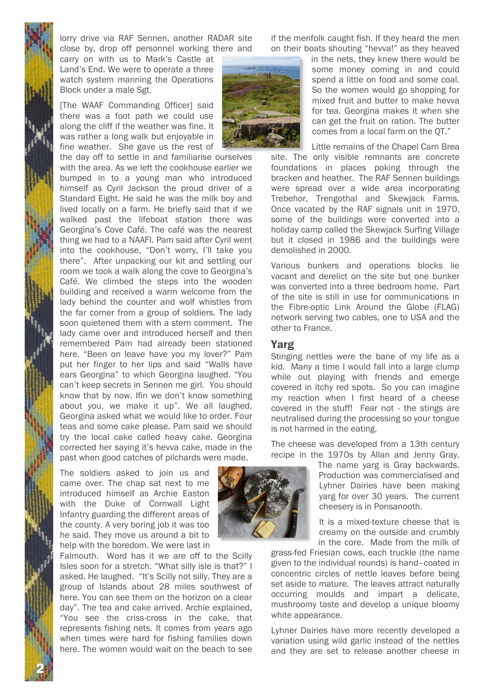2 N

lorry drive via RAF Sennen, another RADAR site close by, drop off personnel working there and

carry on with us to Mark's Castle at Land's End. We were to operate a three watch system manning the Operations Block under a male Sgt.

[The WAAF Commanding Officer] said there was a foot path we could use along the cliff if the weather was fine. It was rather a long walk but enjoyable in fine weather. She gave us the rest of

the day off to settle in and familiarise ourselves with the area. As we left the cookhouse earlier we bumped in to a young man who introduced himself as Cyril Jackson the proud driver of a Standard Eight. He said he was the milk boy and lived locally on a farm. He briefly said that if we walked past the lifeboat station there was Georgina's Cove Café. The café was the nearest thing we had to a NAAFI. Pam said after Cyril went into the cookhouse, "Don't worry, I'll take you there". After unpacking our kit and settling our room we took a walk along the cove to Georgina's Café. We climbed the steps into the wooden building and received a warm welcome from the lady behind the counter and wolf whistles from the far corner from a group of soldiers. The lady soon quietened them with a stern comment. The lady came over and introduced herself and then remembered Pam had already been stationed here. "Been on leave have you my lover?" Pam put her finger to her lips and said "Walls have ears Georgina" to which Georgina laughed. "You can't keep secrets in Sennen me girl. You should know that by now. Ifin we don't know something about you, we make it up". We all laughed. Georgina asked what we would like to order. Four teas and some cake please. Pam said we should try the local cake called heavy cake. Georgina corrected her saying it's hevva cake, made in the past when good catches of pilchards were made.

The soldiers asked to join us and came over. The chap sat next to me introduced himself as Archie Easton with the Duke of Cornwall Light Infantry guarding the different areas of the county. A very boring job it was too he said. They move us around a bit to help with the boredom. We were last in

Falmouth. Word has it we are off to the Scilly Isles soon for a stretch. "What silly isle is that?" I asked. He laughed. "It's Scilly not silly. They are a group of Islands about 28 miles southwest of here. You can see them on the horizon on a clear day". The tea and cake arrived. Archie explained, "You see the criss-cross in the cake, that represents fishing nets. It comes from years ago when times were hard for fishing families down here. The women would wait on the beach to see if the menfolk caught fish. If they heard the men on their boats shouting "hevva!" as they heaved



in the nets, they knew there would be some money coming in and could spend a little on food and some coal. So the women would go shopping for mixed fruit and butter to make hevva for tea. Georgina makes it when she can get the fruit on ration. The butter comes from a local farm on the QT."

Little remains of the Chapel Carn Brea site. The only visible remnants are concrete foundations in places poking through the bracken and heather. The RAF Sennen buildings were spread over a wide area incorporating Trebehor, Trengothal and Skewjack Farms. Once vacated by the RAF signals unit in 1970, some of the buildings were converted into a holiday camp called the Skewjack Surfing Village but it closed in 1986 and the buildings were demolished in 2000.

Various bunkers and operations blocks lie vacant and derelict on the site but one bunker was converted into a three bedroom home. Part of the site is still in use for communications in the Fibre-optic Link Around the Globe (FLAG) network serving two cables, one to USA and the other to France.

### Yarg

Stinging nettles were the bane of my life as a kid. Many a time I would fall into a large clump while out playing with friends and emerge covered in itchy red spots. So you can imagine my reaction when I first heard of a cheese covered in the stuff! Fear not - the stings are neutralised during the processing so your tongue is not harmed in the eating.

The cheese was developed from a 13th century recipe in the 1970s by Allan and Jenny Gray.

> The name yarg is Gray backwards. Production was commercialised and Lyhner Dairies have been making yarg for over 30 years. The current cheesery is in Ponsanooth.

> It is a mixed-texture cheese that is creamy on the outside and crumbly in the core. Made from the milk of

grass-fed Friesian cows, each truckle (the name given to the individual rounds) is hand–coated in concentric circles of nettle leaves before being set aside to mature. The leaves attract naturally occurring moulds and impart a delicate, mushroomy taste and develop a unique bloomy white appearance.

Lyhner Dairies have more recently developed a variation using wild garlic instead of the nettles and they are set to release another cheese in

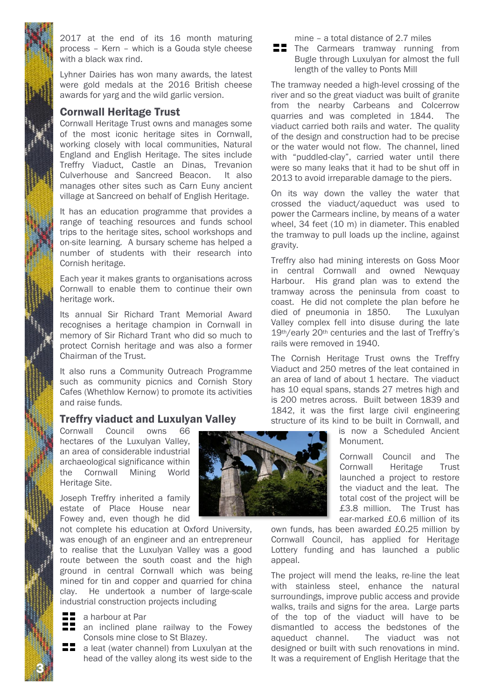2017 at the end of its 16 month maturing process – Kern – which is a Gouda style cheese with a black wax rind.

Lyhner Dairies has won many awards, the latest were gold medals at the 2016 British cheese awards for yarg and the wild garlic version.

# Cornwall Heritage Trust

Cornwall Heritage Trust owns and manages some of the most iconic heritage sites in Cornwall, working closely with local communities, Natural England and English Heritage. The sites include Treffry Viaduct, Castle an Dinas, Trevanion Culverhouse and Sancreed Beacon. It also manages other sites such as Carn Euny ancient village at Sancreed on behalf of English Heritage.

It has an education programme that provides a range of teaching resources and funds school trips to the heritage sites, school workshops and on-site learning. A bursary scheme has helped a number of students with their research into Cornish heritage.

Each year it makes grants to organisations across Cornwall to enable them to continue their own heritage work.

Its annual Sir Richard Trant Memorial Award recognises a heritage champion in Cornwall in memory of Sir Richard Trant who did so much to protect Cornish heritage and was also a former Chairman of the Trust.

It also runs a Community Outreach Programme such as community picnics and Cornish Story Cafes (Whethlow Kernow) to promote its activities and raise funds.

# Treffry viaduct and Luxulyan Valley

Cornwall Council owns 66 hectares of the Luxulyan Valley, an area of considerable industrial archaeological significance within the Cornwall Mining World Heritage Site.

Joseph Treffry inherited a family estate of Place House near Fowey and, even though he did

not complete his education at Oxford University, was enough of an engineer and an entrepreneur to realise that the Luxulyan Valley was a good route between the south coast and the high ground in central Cornwall which was being mined for tin and copper and quarried for china clay. He undertook a number of large-scale industrial construction projects including

- a harbour at Par
- **And School Stephen railway to the Fowey** Consols mine close to St Blazey.
- a leat (water channel) from Luxulyan at the head of the valley along its west side to the

mine – a total distance of 2.7 miles

 $\blacksquare$  The Carmears tramway running from Bugle through Luxulyan for almost the full length of the valley to Ponts Mill

The tramway needed a high-level crossing of the river and so the great viaduct was built of granite from the nearby Carbeans and Colcerrow quarries and was completed in 1844. The viaduct carried both rails and water. The quality of the design and construction had to be precise or the water would not flow. The channel, lined with "puddled-clay", carried water until there were so many leaks that it had to be shut off in 2013 to avoid irreparable damage to the piers.

On its way down the valley the water that crossed the viaduct/aqueduct was used to power the Carmears incline, by means of a water wheel, 34 feet (10 m) in diameter. This enabled the tramway to pull loads up the incline, against gravity.

Treffry also had mining interests on Goss Moor in central Cornwall and owned Newquay Harbour. His grand plan was to extend the tramway across the peninsula from coast to coast. He did not complete the plan before he died of pneumonia in 1850. The Luxulyan Valley complex fell into disuse during the late 19th/early 20th centuries and the last of Treffry's rails were removed in 1940.

The Cornish Heritage Trust owns the Treffry Viaduct and 250 metres of the leat contained in an area of land of about 1 hectare. The viaduct has 10 equal spans, stands 27 metres high and is 200 metres across. Built between 1839 and 1842, it was the first large civil engineering structure of its kind to be built in Cornwall, and

is now a Scheduled Ancient Monument.

Cornwall Council and The Cornwall Heritage Trust launched a project to restore the viaduct and the leat. The total cost of the project will be £3.8 million. The Trust has ear-marked £0.6 million of its

own funds, has been awarded £0.25 million by Cornwall Council, has applied for Heritage Lottery funding and has launched a public appeal.

The project will mend the leaks, re-line the leat with stainless steel, enhance the natural surroundings, improve public access and provide walks, trails and signs for the area. Large parts of the top of the viaduct will have to be dismantled to access the bedstones of the aqueduct channel. The viaduct was not designed or built with such renovations in mind. It was a requirement of English Heritage that the